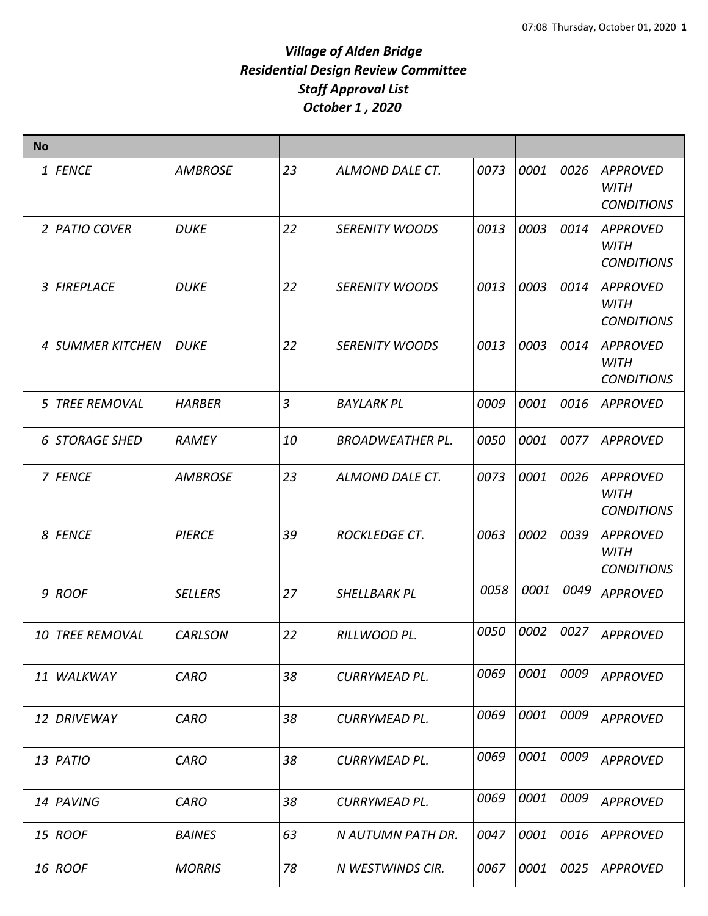| <b>No</b>      |                     |                |                |                         |      |      |      |                                                     |
|----------------|---------------------|----------------|----------------|-------------------------|------|------|------|-----------------------------------------------------|
| 1              | <b>FENCE</b>        | <b>AMBROSE</b> | 23             | ALMOND DALE CT.         | 0073 | 0001 | 0026 | <b>APPROVED</b><br><b>WITH</b><br><b>CONDITIONS</b> |
| 2              | PATIO COVER         | <b>DUKE</b>    | 22             | <b>SERENITY WOODS</b>   | 0013 | 0003 | 0014 | <b>APPROVED</b><br><b>WITH</b><br><b>CONDITIONS</b> |
| $\overline{3}$ | FIREPLACE           | <b>DUKE</b>    | 22             | <b>SERENITY WOODS</b>   | 0013 | 0003 | 0014 | <b>APPROVED</b><br><b>WITH</b><br><b>CONDITIONS</b> |
| 4              | SUMMER KITCHEN      | <b>DUKE</b>    | 22             | <b>SERENITY WOODS</b>   | 0013 | 0003 | 0014 | <b>APPROVED</b><br><b>WITH</b><br><b>CONDITIONS</b> |
| 5              | <b>TREE REMOVAL</b> | <b>HARBER</b>  | $\overline{3}$ | <b>BAYLARK PL</b>       | 0009 | 0001 | 0016 | <b>APPROVED</b>                                     |
|                | 6 STORAGE SHED      | <b>RAMEY</b>   | 10             | <b>BROADWEATHER PL.</b> | 0050 | 0001 | 0077 | <b>APPROVED</b>                                     |
|                | 7 FENCE             | <b>AMBROSE</b> | 23             | ALMOND DALE CT.         | 0073 | 0001 | 0026 | <b>APPROVED</b><br><b>WITH</b><br><b>CONDITIONS</b> |
|                | 8 FENCE             | <b>PIERCE</b>  | 39             | <b>ROCKLEDGE CT.</b>    | 0063 | 0002 | 0039 | <b>APPROVED</b><br><b>WITH</b><br><b>CONDITIONS</b> |
|                | $9$ ROOF            | <b>SELLERS</b> | 27             | SHELLBARK PL            | 0058 | 0001 | 0049 | <b>APPROVED</b>                                     |
|                | 10 TREE REMOVAL     | <b>CARLSON</b> | 22             | RILLWOOD PL.            | 0050 | 0002 | 0027 | <b>APPROVED</b>                                     |
|                | 11 WALKWAY          | <b>CARO</b>    | 38             | <b>CURRYMEAD PL.</b>    | 0069 | 0001 | 0009 | <b>APPROVED</b>                                     |
|                | 12 DRIVEWAY         | <b>CARO</b>    | 38             | <b>CURRYMEAD PL.</b>    | 0069 | 0001 | 0009 | <b>APPROVED</b>                                     |
|                | $13$ PATIO          | <b>CARO</b>    | 38             | <b>CURRYMEAD PL.</b>    | 0069 | 0001 | 0009 | <b>APPROVED</b>                                     |
|                | 14 PAVING           | <b>CARO</b>    | 38             | <b>CURRYMEAD PL.</b>    | 0069 | 0001 | 0009 | <b>APPROVED</b>                                     |
|                | $15$ ROOF           | <b>BAINES</b>  | 63             | N AUTUMN PATH DR.       | 0047 | 0001 | 0016 | <b>APPROVED</b>                                     |
|                | $16$ ROOF           | <b>MORRIS</b>  | 78             | N WESTWINDS CIR.        | 0067 | 0001 | 0025 | <b>APPROVED</b>                                     |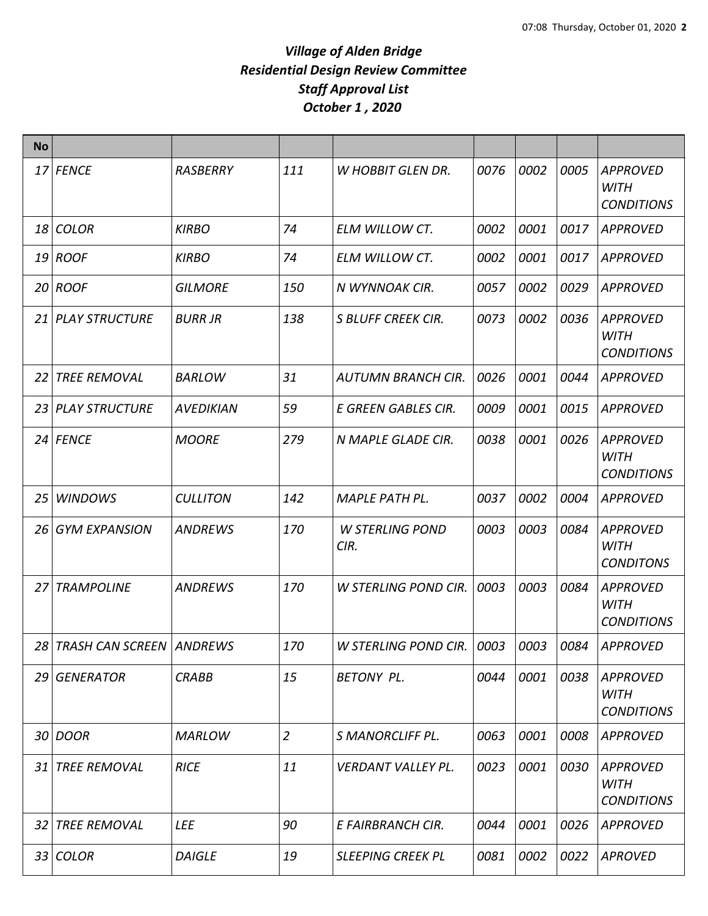| <b>No</b> |                       |                  |                |                                |      |      |      |                                                     |
|-----------|-----------------------|------------------|----------------|--------------------------------|------|------|------|-----------------------------------------------------|
|           | 17 FENCE              | <b>RASBERRY</b>  | 111            | <b>W HOBBIT GLEN DR.</b>       | 0076 | 0002 | 0005 | <b>APPROVED</b><br><b>WITH</b><br><b>CONDITIONS</b> |
|           | 18 COLOR              | <b>KIRBO</b>     | 74             | <b>ELM WILLOW CT.</b>          | 0002 | 0001 | 0017 | <b>APPROVED</b>                                     |
|           | $19$ ROOF             | <b>KIRBO</b>     | 74             | ELM WILLOW CT.                 | 0002 | 0001 | 0017 | <b>APPROVED</b>                                     |
|           | $20$ ROOF             | <b>GILMORE</b>   | 150            | N WYNNOAK CIR.                 | 0057 | 0002 | 0029 | <b>APPROVED</b>                                     |
|           | 21 PLAY STRUCTURE     | <b>BURR JR</b>   | 138            | <b>S BLUFF CREEK CIR.</b>      | 0073 | 0002 | 0036 | <b>APPROVED</b><br><b>WITH</b><br><b>CONDITIONS</b> |
| 22        | <b>TREE REMOVAL</b>   | <b>BARLOW</b>    | 31             | <b>AUTUMN BRANCH CIR.</b>      | 0026 | 0001 | 0044 | <b>APPROVED</b>                                     |
| 23        | <b>PLAY STRUCTURE</b> | <b>AVEDIKIAN</b> | 59             | E GREEN GABLES CIR.            | 0009 | 0001 | 0015 | <b>APPROVED</b>                                     |
|           | 24 FENCE              | <b>MOORE</b>     | 279            | N MAPLE GLADE CIR.             | 0038 | 0001 | 0026 | <b>APPROVED</b><br><b>WITH</b><br><b>CONDITIONS</b> |
| 25        | <b>WINDOWS</b>        | <b>CULLITON</b>  | 142            | MAPLE PATH PL.                 | 0037 | 0002 | 0004 | <b>APPROVED</b>                                     |
| 26        | <b>GYM EXPANSION</b>  | <b>ANDREWS</b>   | 170            | <b>W STERLING POND</b><br>CIR. | 0003 | 0003 | 0084 | <b>APPROVED</b><br><b>WITH</b><br><b>CONDITONS</b>  |
| 27        | <b>TRAMPOLINE</b>     | <b>ANDREWS</b>   | 170            | W STERLING POND CIR.           | 0003 | 0003 | 0084 | <b>APPROVED</b><br><b>WITH</b><br><b>CONDITIONS</b> |
|           | 28 TRASH CAN SCREEN   | ANDREWS          | 170            | W STERLING POND CIR.           | 0003 | 0003 | 0084 | <b>APPROVED</b>                                     |
| 29 I      | <b>GENERATOR</b>      | <b>CRABB</b>     | 15             | <b>BETONY PL.</b>              | 0044 | 0001 | 0038 | <b>APPROVED</b><br><b>WITH</b><br><b>CONDITIONS</b> |
|           | 30 DOOR               | <b>MARLOW</b>    | $\overline{2}$ | S MANORCLIFF PL.               | 0063 | 0001 | 0008 | <b>APPROVED</b>                                     |
| 31        | <b>TREE REMOVAL</b>   | <b>RICE</b>      | 11             | <b>VERDANT VALLEY PL.</b>      | 0023 | 0001 | 0030 | <b>APPROVED</b><br><b>WITH</b><br><b>CONDITIONS</b> |
| 32        | <b>TREE REMOVAL</b>   | <b>LEE</b>       | 90             | E FAIRBRANCH CIR.              | 0044 | 0001 | 0026 | <b>APPROVED</b>                                     |
| 33 I      | <b>COLOR</b>          | <b>DAIGLE</b>    | 19             | <b>SLEEPING CREEK PL</b>       | 0081 | 0002 | 0022 | <b>APROVED</b>                                      |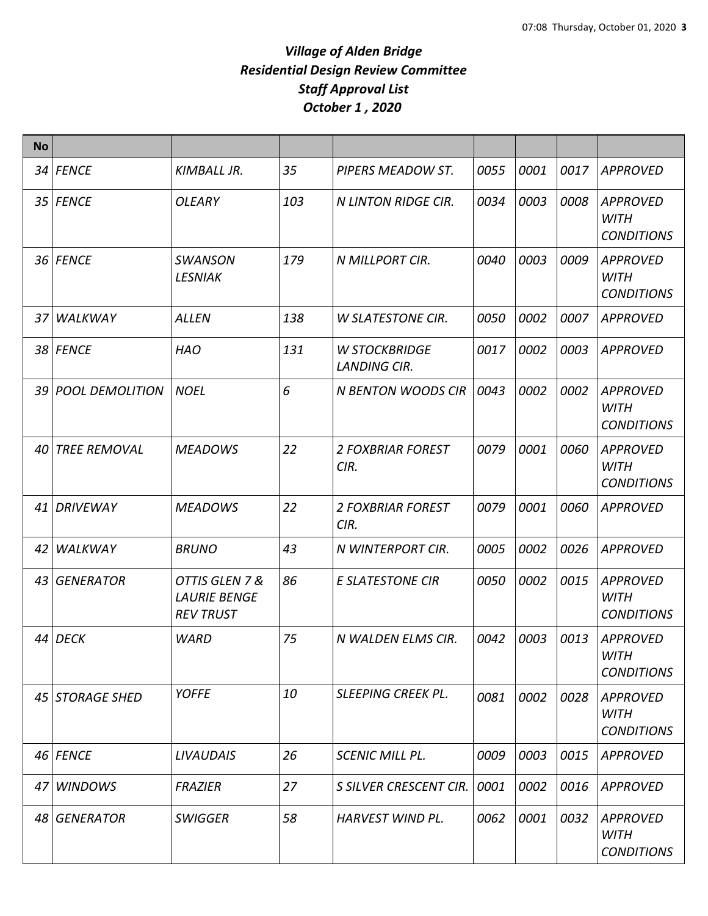| <b>No</b>       |                    |                                                           |     |                                             |      |      |      |                                                     |
|-----------------|--------------------|-----------------------------------------------------------|-----|---------------------------------------------|------|------|------|-----------------------------------------------------|
|                 | 34 FENCE           | KIMBALL JR.                                               | 35  | PIPERS MEADOW ST.                           | 0055 | 0001 | 0017 | <b>APPROVED</b>                                     |
|                 | 35 FENCE           | <b>OLEARY</b>                                             | 103 | N LINTON RIDGE CIR.                         | 0034 | 0003 | 0008 | <b>APPROVED</b><br><b>WITH</b><br><b>CONDITIONS</b> |
|                 | 36 FENCE           | <b>SWANSON</b><br><b>LESNIAK</b>                          | 179 | N MILLPORT CIR.                             | 0040 | 0003 | 0009 | <b>APPROVED</b><br><b>WITH</b><br><b>CONDITIONS</b> |
| 37 <sup>1</sup> | WALKWAY            | <b>ALLEN</b>                                              | 138 | <b>W SLATESTONE CIR.</b>                    | 0050 | 0002 | 0007 | <b>APPROVED</b>                                     |
|                 | 38 FENCE           | <b>HAO</b>                                                | 131 | <b>W STOCKBRIDGE</b><br><b>LANDING CIR.</b> | 0017 | 0002 | 0003 | <b>APPROVED</b>                                     |
|                 | 39 POOL DEMOLITION | <b>NOEL</b>                                               | 6   | <b>N BENTON WOODS CIR</b>                   | 0043 | 0002 | 0002 | <b>APPROVED</b><br><b>WITH</b><br><b>CONDITIONS</b> |
|                 | 40 TREE REMOVAL    | <b>MEADOWS</b>                                            | 22  | <b>2 FOXBRIAR FOREST</b><br>CIR.            | 0079 | 0001 | 0060 | <b>APPROVED</b><br><b>WITH</b><br><b>CONDITIONS</b> |
|                 | 41 DRIVEWAY        | <b>MEADOWS</b>                                            | 22  | <b>2 FOXBRIAR FOREST</b><br>CIR.            | 0079 | 0001 | 0060 | <b>APPROVED</b>                                     |
| 42              | WALKWAY            | <b>BRUNO</b>                                              | 43  | N WINTERPORT CIR.                           | 0005 | 0002 | 0026 | <b>APPROVED</b>                                     |
| 43              | GENERATOR          | OTTIS GLEN 7 &<br><b>LAURIE BENGE</b><br><b>REV TRUST</b> | 86  | <b>E SLATESTONE CIR</b>                     | 0050 | 0002 | 0015 | <b>APPROVED</b><br><b>WITH</b><br><b>CONDITIONS</b> |
|                 | 44 DECK            | <b>WARD</b>                                               | 75  | N WALDEN ELMS CIR.                          | 0042 | 0003 | 0013 | <b>APPROVED</b><br>WITH<br><b>CONDITIONS</b>        |
|                 | 45 STORAGE SHED    | <b>YOFFE</b>                                              | 10  | <b>SLEEPING CREEK PL.</b>                   | 0081 | 0002 | 0028 | <b>APPROVED</b><br><b>WITH</b><br><b>CONDITIONS</b> |
|                 | 46 FENCE           | <b>LIVAUDAIS</b>                                          | 26  | <b>SCENIC MILL PL.</b>                      | 0009 | 0003 | 0015 | <b>APPROVED</b>                                     |
| 47              | <b>WINDOWS</b>     | <b>FRAZIER</b>                                            | 27  | S SILVER CRESCENT CIR.                      | 0001 | 0002 | 0016 | <b>APPROVED</b>                                     |
|                 | 48 GENERATOR       | <b>SWIGGER</b>                                            | 58  | HARVEST WIND PL.                            | 0062 | 0001 | 0032 | <b>APPROVED</b><br><b>WITH</b><br><b>CONDITIONS</b> |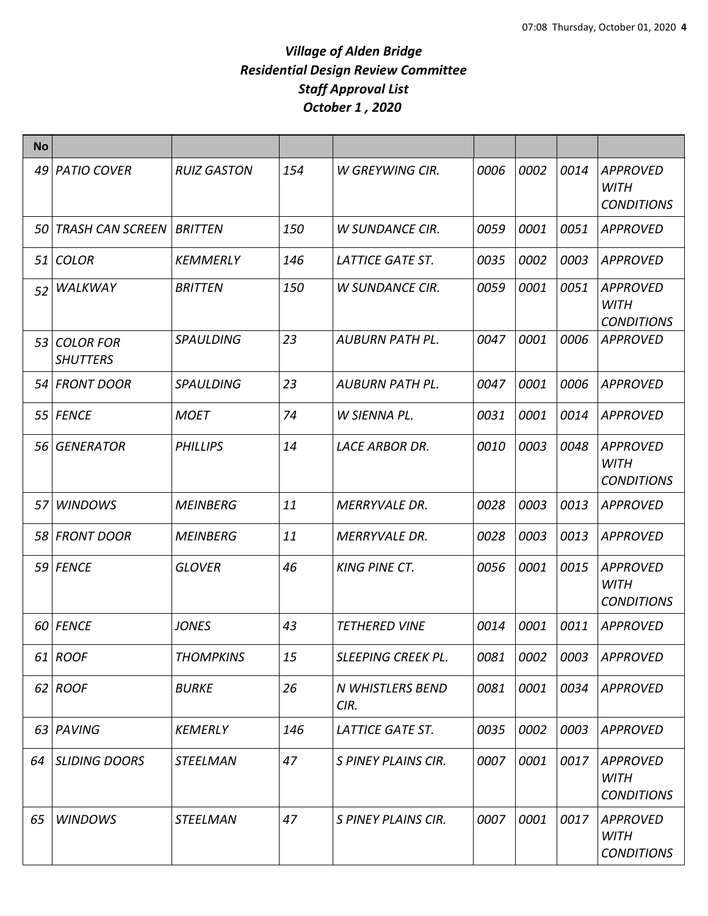| <b>No</b> |                                 |                    |     |                          |      |             |      |                                                     |
|-----------|---------------------------------|--------------------|-----|--------------------------|------|-------------|------|-----------------------------------------------------|
|           | 49 PATIO COVER                  | <b>RUIZ GASTON</b> | 154 | W GREYWING CIR.          | 0006 | 0002        | 0014 | <b>APPROVED</b><br><b>WITH</b><br><b>CONDITIONS</b> |
| 50        | <b>TRASH CAN SCREEN</b>         | <b>BRITTEN</b>     | 150 | <b>W SUNDANCE CIR.</b>   | 0059 | 0001        | 0051 | <b>APPROVED</b>                                     |
| 51        | <b>COLOR</b>                    | <b>KEMMERLY</b>    | 146 | LATTICE GATE ST.         | 0035 | 0002        | 0003 | <b>APPROVED</b>                                     |
| 52        | WALKWAY                         | <b>BRITTEN</b>     | 150 | <b>W SUNDANCE CIR.</b>   | 0059 | 0001        | 0051 | <b>APPROVED</b><br><b>WITH</b><br><b>CONDITIONS</b> |
|           | 53 COLOR FOR<br><b>SHUTTERS</b> | <b>SPAULDING</b>   | 23  | <b>AUBURN PATH PL.</b>   | 0047 | 0001        | 0006 | <b>APPROVED</b>                                     |
|           | 54 FRONT DOOR                   | <b>SPAULDING</b>   | 23  | AUBURN PATH PL.          | 0047 | 0001        | 0006 | <b>APPROVED</b>                                     |
|           | 55 FENCE                        | <b>MOET</b>        | 74  | W SIENNA PL.             | 0031 | 0001        | 0014 | <b>APPROVED</b>                                     |
|           | 56 GENERATOR                    | <b>PHILLIPS</b>    | 14  | LACE ARBOR DR.           | 0010 | 0003        | 0048 | <b>APPROVED</b><br><b>WITH</b><br><b>CONDITIONS</b> |
| 57        | <b>WINDOWS</b>                  | <b>MEINBERG</b>    | 11  | <b>MERRYVALE DR.</b>     | 0028 | 0003        | 0013 | <b>APPROVED</b>                                     |
|           | 58 FRONT DOOR                   | <b>MEINBERG</b>    | 11  | <b>MERRYVALE DR.</b>     | 0028 | 0003        | 0013 | <b>APPROVED</b>                                     |
|           | 59 FENCE                        | <b>GLOVER</b>      | 46  | <b>KING PINE CT.</b>     | 0056 | 0001        | 0015 | <b>APPROVED</b><br><b>WITH</b><br><b>CONDITIONS</b> |
|           | 60 FENCE                        | <b>JONES</b>       | 43  | <b>TETHERED VINE</b>     | 0014 | 0001        | 0011 | <b>APPROVED</b>                                     |
|           | 61   ROOF                       | THOMPKINS          | 15  | SLEEPING CREEK PL.       | 0081 | <i>0002</i> | 0003 | <b>APPROVED</b>                                     |
|           | 62 ROOF                         | <b>BURKE</b>       | 26  | N WHISTLERS BEND<br>CIR. | 0081 | 0001        | 0034 | <b>APPROVED</b>                                     |
|           | 63 PAVING                       | <b>KEMERLY</b>     | 146 | LATTICE GATE ST.         | 0035 | 0002        | 0003 | <b>APPROVED</b>                                     |
| 64        | <b>SLIDING DOORS</b>            | <b>STEELMAN</b>    | 47  | S PINEY PLAINS CIR.      | 0007 | 0001        | 0017 | <b>APPROVED</b><br><b>WITH</b><br><b>CONDITIONS</b> |
| 65        | <b>WINDOWS</b>                  | <b>STEELMAN</b>    | 47  | S PINEY PLAINS CIR.      | 0007 | 0001        | 0017 | APPROVED<br><b>WITH</b><br><b>CONDITIONS</b>        |